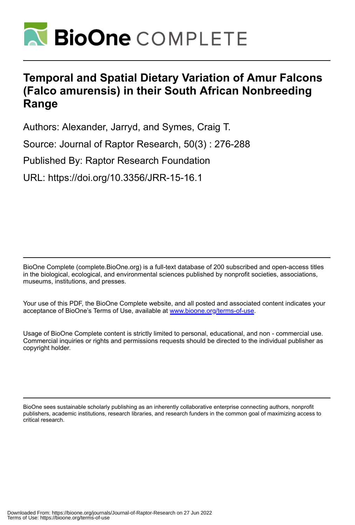

# **Temporal and Spatial Dietary Variation of Amur Falcons (Falco amurensis) in their South African Nonbreeding Range**

Authors: Alexander, Jarryd, and Symes, Craig T.

Source: Journal of Raptor Research, 50(3) : 276-288

Published By: Raptor Research Foundation

URL: https://doi.org/10.3356/JRR-15-16.1

BioOne Complete (complete.BioOne.org) is a full-text database of 200 subscribed and open-access titles in the biological, ecological, and environmental sciences published by nonprofit societies, associations, museums, institutions, and presses.

Your use of this PDF, the BioOne Complete website, and all posted and associated content indicates your acceptance of BioOne's Terms of Use, available at www.bioone.org/terms-of-use.

Usage of BioOne Complete content is strictly limited to personal, educational, and non - commercial use. Commercial inquiries or rights and permissions requests should be directed to the individual publisher as copyright holder.

BioOne sees sustainable scholarly publishing as an inherently collaborative enterprise connecting authors, nonprofit publishers, academic institutions, research libraries, and research funders in the common goal of maximizing access to critical research.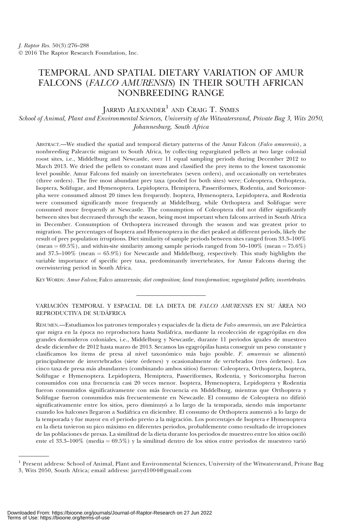# TEMPORAL AND SPATIAL DIETARY VARIATION OF AMUR FALCONS (FALCO AMURENSIS) IN THEIR SOUTH AFRICAN NONBREEDING RANGE

## JARRYD ALEXANDER<sup>1</sup> AND CRAIG T. SYMES

School of Animal, Plant and Environmental Sciences, University of the Witwatersrand, Private Bag 3, Wits 2050, Johannesburg, South Africa

ABSTRACT.—We studied the spatial and temporal dietary patterns of the Amur Falcon (Falco amurensis), a nonbreeding Palearctic migrant to South Africa, by collecting regurgitated pellets at two large colonial roost sites, i.e., Middelburg and Newcastle, over 11 equal sampling periods during December 2012 to March 2013. We dried the pellets to constant mass and classified the prey items to the lowest taxonomic level possible. Amur Falcons fed mainly on invertebrates (seven orders), and occasionally on vertebrates (three orders). The five most abundant prey taxa (pooled for both sites) were; Coleoptera, Orthoptera, Isoptera, Solifugae, and Hymenoptera. Lepidoptera, Hemiptera, Passeriformes, Rodentia, and Soricomorpha were consumed almost 20 times less frequently. Isoptera, Hymenoptera, Lepidoptera, and Rodentia were consumed significantly more frequently at Middelburg, while Orthoptera and Solifugae were consumed more frequently at Newcastle. The consumption of Coleoptera did not differ significantly between sites but decreased through the season, being most important when falcons arrived in South Africa in December. Consumption of Orthoptera increased through the season and was greatest prior to migration. The percentages of Isoptera and Hymenoptera in the diet peaked at different periods, likely the result of prey population irruptions. Diet similarity of sample periods between sites ranged from 33.3–100% (mean =  $69.5\%$ ), and within-site similarity among sample periods ranged from  $50-100\%$  (mean =  $75.6\%$ ) and 37.5–100% (mean  $= 65.9\%$ ) for Newcastle and Middelburg, respectively. This study highlights the variable importance of specific prey taxa, predominantly invertebrates, for Amur Falcons during the overwintering period in South Africa.

KEY WORDS: Amur Falcon; Falco amurensis; diet composition; land transformation; regurgitated pellets; invertebrates.

### VARIACIÓN TEMPORAL Y ESPACIAL DE LA DIETA DE FALCO AMURENSIS EN SU ÁREA NO REPRODUCTIVA DE SUDAFRICA ´

RESUMEN.—Estudiamos los patrones temporales y espaciales de la dieta de Falco amurensis, un ave Paleártica que migra en la época no reproductora hasta Sudáfrica, mediante la recolección de egagrópilas en dos grandes dormideros coloniales, i.e., Middelburg y Newcastle, durante 11 periodos iguales de muestreo desde diciembre de 2012 hasta marzo de 2013. Secamos las egagrópilas hasta conseguir un peso constante y clasificamos los ítems de presa al nivel taxonómico más bajo posible. F. amurensis se alimentó principalmente de invertebrados (siete órdenes) y ocasionalmente de vertebrados (tres órdenes). Los cinco taxa de presa ma´s abundantes (combinando ambos sitios) fueron: Coleoptera, Orthoptera, Isoptera, Solifugae e Hymenoptera. Lepidoptera, Hemiptera, Passeriformes, Rodentia, y Soricomorpha fueron consumidos con una frecuencia casi 20 veces menor. Isoptera, Hymenoptera, Lepidoptera y Rodentia fueron consumidos significativamente con más frecuencia en Middelburg, mientras que Orthoptera y Solifugae fueron consumidos más frecuentemente en Newcastle. El consumo de Coleoptera no difirió significativamente entre los sitios, pero disminuyó a lo largo de la temporada, siendo más importante cuando los halcones llegaron a Sudáfrica en diciembre. El consumo de Orthoptera aumentó a lo largo de la temporada y fue mayor en el periodo previo a la migración. Los porcentajes de Isoptera e Hymenoptera en la dieta tuvieron su pico ma´ximo en diferentes periodos, probablemente como resultado de irrupciones de las poblaciones de presas. La similitud de la dieta durante los periodos de muestreo entre los sitios osciló ente el 33.3–100% (media =  $69.5\%$ ) y la similitud dentro de los sitios entre periodos de muestreo varió

<sup>1</sup> Present address: School of Animal, Plant and Environmental Sciences, University of the Witwatersrand, Private Bag 3, Wits 2050, South Africa; email address: jarryd1004@gmail.com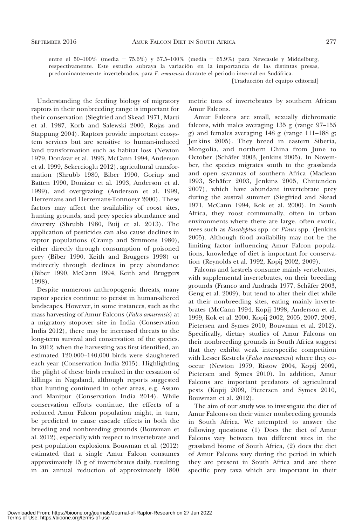entre el 50–100% (media = 75.6%) y 37.5–100% (media = 65.9%) para Newcastle y Middelburg, respectivamente. Este estudio subraya la variación en la importancia de las distintas presas, predominantemente invertebrados, para F. amurensis durante el periodo invernal en Sudáfrica. [Traducción del equipo editorial]

Understanding the feeding biology of migratory raptors in their nonbreeding range is important for their conservation (Siegfried and Skead 1971, Marti et al. 1987, Korb and Salewski 2000, Rojas and Stappung 2004). Raptors provide important ecosystem services but are sensitive to human-induced land transformation such as habitat loss (Newton 1979, Donázar et al. 1993, McCann 1994, Anderson et al. 1999, Sekercioglu 2012), agricultural transformation (Shrubb 1980, Biber 1990, Goriup and Batten 1990, Donázar et al. 1993, Anderson et al. 1999), and overgrazing (Anderson et al. 1999, Herremans and Herremans-Tonnoeyr 2000). These factors may affect the availability of roost sites, hunting grounds, and prey species abundance and diversity (Shrubb 1980, Buij et al. 2013). The application of pesticides can also cause declines in raptor populations (Cramp and Simmons 1980), either directly through consumption of poisoned prey (Biber 1990, Keith and Bruggers 1998) or indirectly through declines in prey abundance (Biber 1990, McCann 1994, Keith and Bruggers 1998).

Despite numerous anthropogenic threats, many raptor species continue to persist in human-altered landscapes. However, in some instances, such as the mass harvesting of Amur Falcons (Falco amurensis) at a migratory stopover site in India (Conservation India 2012), there may be increased threats to the long-term survival and conservation of the species. In 2012, when the harvesting was first identified, an estimated 120,000–140,000 birds were slaughtered each year (Conservation India 2015). Highlighting the plight of these birds resulted in the cessation of killings in Nagaland, although reports suggested that hunting continued in other areas, e.g. Assam and Manipur (Conservation India 2014). While conservation efforts continue, the effects of a reduced Amur Falcon population might, in turn, be predicted to cause cascade effects in both the breeding and nonbreeding grounds (Bouwman et al. 2012), especially with respect to invertebrate and pest population explosions. Bouwman et al. (2012) estimated that a single Amur Falcon consumes approximately 15 g of invertebrates daily, resulting in an annual reduction of approximately 1800

metric tons of invertebrates by southern African Amur Falcons.

Amur Falcons are small, sexually dichromatic falcons, with males averaging 135 g (range 97–155 g) and females averaging 148 g (range 111–188 g; Jenkins 2005). They breed in eastern Siberia, Mongolia, and northern China from June to October (Schäfer 2003, Jenkins 2005). In November, the species migrates south to the grasslands and open savannas of southern Africa (Maclean 1993, Schäfer 2003, Jenkins 2005, Chittenden 2007), which have abundant invertebrate prey during the austral summer (Siegfried and Skead 1971, McCann 1994, Kok et al. 2000). In South Africa, they roost communally, often in urban environments where there are large, often exotic, trees such as Eucalyptus spp. or Pinus spp. (Jenkins 2005). Although food availability may not be the limiting factor influencing Amur Falcon populations, knowledge of diet is important for conservation (Reynolds et al. 1992, Kopij 2002, 2009).

Falcons and kestrels consume mainly vertebrates, with supplemental invertebrates, on their breeding grounds (Franco and Andrada 1977, Schäfer 2003, Geng et al. 2009), but tend to alter their diet while at their nonbreeding sites, eating mainly invertebrates (McCann 1994, Kopij 1998, Anderson et al. 1999, Kok et al. 2000, Kopij 2002, 2005, 2007, 2009, Pietersen and Symes 2010, Bouwman et al. 2012). Specifically, dietary studies of Amur Falcons on their nonbreeding grounds in South Africa suggest that they exhibit weak interspecific competition with Lesser Kestrels (Falco naumanni) where they cooccur (Newton 1979, Ristow 2004, Kopij 2009, Pietersen and Symes 2010). In addition, Amur Falcons are important predators of agricultural pests (Kopij 2009, Pietersen and Symes 2010, Bouwman et al. 2012).

The aim of our study was to investigate the diet of Amur Falcons on their winter nonbreeding grounds in South Africa. We attempted to answer the following questions: (1) Does the diet of Amur Falcons vary between two different sites in the grassland biome of South Africa, (2) does the diet of Amur Falcons vary during the period in which they are present in South Africa and are there specific prey taxa which are important in their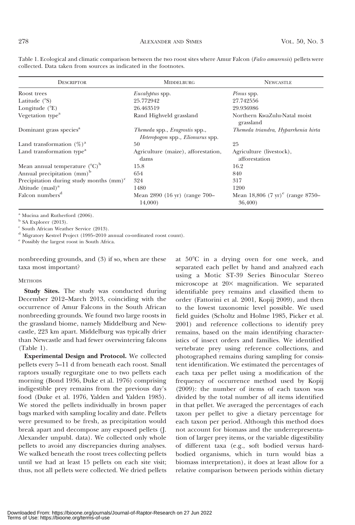| <b>DESCRIPTOR</b>                           | <b>MIDDELBURG</b>                                                                | <b>NEWCASTLE</b>                                       |
|---------------------------------------------|----------------------------------------------------------------------------------|--------------------------------------------------------|
| Roost trees                                 | <i>Eucalyptus</i> spp.                                                           | <i>Pinus</i> spp.                                      |
| Latitude $(^{\circ}S)$                      | 25.772942                                                                        | 27.742556                                              |
| Longitude $(^{\circ}E)$                     | 26.463519                                                                        | 29.936986                                              |
| Vegetation type <sup>a</sup>                | Rand Highveld grassland                                                          | Northern KwaZulu-Natal moist<br>grassland              |
| Dominant grass species <sup>a</sup>         | Themeda spp., Eragrostis spp.,<br><i>Heteropogon</i> spp., <i>Elionurus</i> spp. | Themeda triandra, Hyparrhenia hirta                    |
| Land transformation $(\%)^a$                | 50                                                                               | 25                                                     |
| Land transformation type <sup>a</sup>       | Agriculture (maize), afforestation,<br>dams                                      | Agriculture (livestock),<br>afforestation              |
| Mean annual temperature $({}^{\circ}C)^{b}$ | 15.8                                                                             | 16.2                                                   |
| Annual precipitation (mm) <sup>b</sup>      | 654                                                                              | 840                                                    |
| Precipitation during study months $(mm)^c$  | 324                                                                              | 317                                                    |
| Altitude $(mas)$ <sup>a</sup>               | 1480                                                                             | 1200                                                   |
| Falcon numbers <sup>d</sup>                 | Mean 2890 (16 yr) (range 700–<br>14,000)                                         | Mean 18,806 $(7 \text{ yr})^e$ (range 8750–<br>36,400) |

Table 1. Ecological and climatic comparison between the two roost sites where Amur Falcon (Falco amurensis) pellets were collected. Data taken from sources as indicated in the footnotes.

<sup>a</sup> Mucina and Rutherford (2006).

 $b$  SA Explorer (2013).

<sup>c</sup> South African Weather Service (2013).

<sup>d</sup> Migratory Kestrel Project (1995–2010 annual co-ordinated roost count).

<sup>e</sup> Possibly the largest roost in South Africa.

nonbreeding grounds, and (3) if so, when are these taxa most important?

#### **METHODS**

Study Sites. The study was conducted during December 2012–March 2013, coinciding with the occurrence of Amur Falcons in the South African nonbreeding grounds. We found two large roosts in the grassland biome, namely Middelburg and Newcastle, 223 km apart. Middelburg was typically drier than Newcastle and had fewer overwintering falcons (Table 1).

Experimental Design and Protocol. We collected pellets every 5–11 d from beneath each roost. Small raptors usually regurgitate one to two pellets each morning (Bond 1936, Duke et al. 1976) comprising indigestible prey remains from the previous day's food (Duke et al. 1976, Yalden and Yalden 1985). We stored the pellets individually in brown paper bags marked with sampling locality and date. Pellets were presumed to be fresh, as precipitation would break apart and decompose any exposed pellets (J. Alexander unpubl. data). We collected only whole pellets to avoid any discrepancies during analyses. We walked beneath the roost trees collecting pellets until we had at least 15 pellets on each site visit; thus, not all pellets were collected. We dried pellets at  $50^{\circ}$ C in a drying oven for one week, and separated each pellet by hand and analyzed each using a Motic ST-39 Series Binocular Stereo microscope at 20× magnification. We separated identifiable prey remains and classified them to order (Fattorini et al. 2001, Kopij 2009), and then to the lowest taxonomic level possible. We used field guides (Scholtz and Holme 1985, Picker et al. 2001) and reference collections to identify prey remains, based on the main identifying characteristics of insect orders and families. We identified vertebrate prey using reference collections, and photographed remains during sampling for consistent identification. We estimated the percentages of each taxa per pellet using a modification of the frequency of occurrence method used by Kopij (2009): the number of items of each taxon was divided by the total number of all items identified in that pellet. We averaged the percentages of each taxon per pellet to give a dietary percentage for each taxon per period. Although this method does not account for biomass and the underrepresentation of larger prey items, or the variable digestibility of different taxa (e.g., soft bodied versus hardbodied organisms, which in turn would bias a biomass interpretation), it does at least allow for a relative comparison between periods within dietary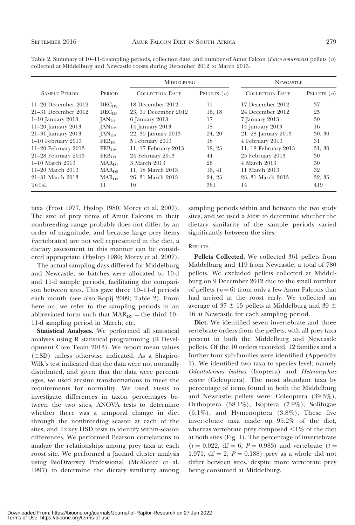|                         |                          | <b>MIDDELBURG</b>      |               | <b>NEWCASTLE</b>       |               |
|-------------------------|--------------------------|------------------------|---------------|------------------------|---------------|
| <b>SAMPLE PERIOD</b>    | <b>PERIOD</b>            | <b>COLLECTION DATE</b> | PELLETS $(n)$ | <b>COLLECTION DATE</b> | PELLETS $(n)$ |
| $11-20$ December $2012$ | $DEC_{D2}$               | 18 December 2012       | 11            | 17 December 2012       | 37            |
| 21–31 December 2012     | DEC <sub>DS</sub>        | 23. 31 December 2012   | 16, 18        | 24 December 2012       | 25            |
| $1-10$ January 2013     | $\rm{IAN}_{D1}$          | 6 January 2013         | 17            | 7 January 2013         | 30            |
| $11-20$ January 2013    | $\rm{IAN}_{D2}$          | 14 January 2013        | 18            | 14 January 2013        | 16            |
| 21-31 January 2013      | $[AN_{D3}]$              | 22, 30 January 2013    | 24, 20        | 21, 28 January 2013    | 30, 30        |
| $1-10$ February 2013    | $FEB_{D1}$               | 5 February 2013        | 18            | 4 February 2013        | 31            |
| $11-20$ February 2013   | $FEB_{D2}$               | 11, 17 February 2013   | 18, 25        | 11, 18 February 2013   | 31, 30        |
| $21-28$ February $2013$ | $FEB_{D3}$               | 24 February 2013       | 44            | 25 February 2013       | 30            |
| $1-10$ March $2013$     | $\text{MAR}_{\text{D1}}$ | 3 March 2013           | 26            | 4 March 2013           | 30            |
| 11–20 March 2013        | $\text{MAR}_{D2}$        | 11, 18 March 2013      | 16, 41        | 11 March 2013          | 32            |
| 21–31 March 2013        | $\text{MAR}_{\text{D3}}$ | 26, 31 March 2013      | 24, 25        | 25, 31 March 2013      | 32, 35        |
| <b>TOTAL</b>            | 11                       | 16                     | 361           | 14                     | 419           |

Table 2. Summary of  $10-11-d$  sampling periods, collection date, and number of Amur Falcon (*Falco amurensis*) pellets (*n*) collected at Middelburg and Newcastle roosts during December 2012 to March 2013.

taxa (Frost 1977, Hyslop 1980, Morey et al. 2007). The size of prey items of Amur Falcons in their nonbreeding range probably does not differ by an order of magnitude, and because large prey items (vertebrates) are not well represented in the diet, a dietary assessment in this manner can be considered appropriate (Hyslop 1980; Morey et al. 2007).

The actual sampling days differed for Middelburg and Newcastle, so batches were allocated to 10-d and 11-d sample periods, facilitating the comparison between sites. This gave three 10–11-d periods each month (see also Kopij 2009; Table 2). From here on, we refer to the sampling periods in an abbreviated form such that  $MAR_{D3}$  = the third 10– 11-d sampling period in March, etc.

Statistical Analyses. We performed all statistical analyses using R statistical programming (R Development Core Team 2013). We report mean values  $(\pm SD)$  unless otherwise indicated. As a Shapiro-Wilk's test indicated that the data were not normally distributed, and given that the data were percentages, we used arcsine transformations to meet the requirements for normality. We used t-tests to investigate differences in taxon percentages between the two sites, ANOVA tests to determine whether there was a temporal change in diet through the nonbreeding season at each of the sites, and Tukey HSD tests to identify within-season differences. We performed Pearson correlations to analyze the relationships among prey taxa at each roost site. We performed a Jaccard cluster analysis using BioDiversity Professional (McAleece et al. 1997) to determine the dietary similarity among sampling periods within and between the two study sites, and we used a *t*-test to determine whether the dietary similarity of the sample periods varied significantly between the sites.

#### **RESULTS**

Pellets Collected. We collected 361 pellets from Middelburg and 419 from Newcastle, a total of 780 pellets. We excluded pellets collected at Middelburg on 9 December 2012 due to the small number of pellets ( $n = 6$ ) from only a few Amur Falcons that had arrived at the roost early. We collected an average of 37  $\pm$  15 pellets at Middelburg and 39  $\pm$ 16 at Newcastle for each sampling period.

Diet. We identified seven invertebrate and three vertebrate orders from the pellets, with all prey taxa present in both the Middelburg and Newcastle pellets. Of the 10 orders recorded, 12 families and a further four sub-families were identified (Appendix 1). We identified two taxa to species level; namely Odontotermes badius (Isoptera) and Heteronychus arator (Coleoptera). The most abundant taxa by percentage of items found in both the Middelburg and Newcastle pellets were: Coleoptera (39.3%), Orthoptera (38.1%), Isoptera (7.9%), Solifugae  $(6.1\%)$ , and Hymenoptera  $(3.8\%)$ . These five invertebrate taxa made up 95.2% of the diet, whereas vertebrate prey composed  $\leq 1\%$  of the diet at both sites (Fig. 1). The percentage of invertebrate  $(t = 0.022, df = 6, P = 0.983)$  and vertebrate  $(t =$ 1.971, df = 2,  $P = 0.188$ ) prey as a whole did not differ between sites, despite more vertebrate prey being consumed at Middelburg.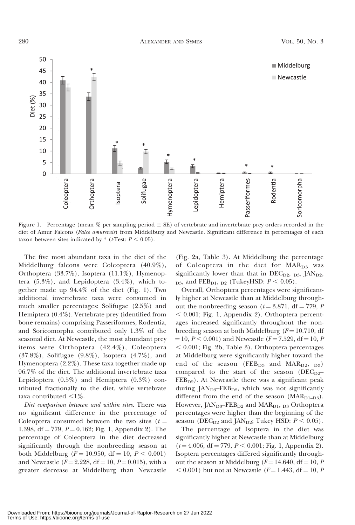

Figure 1. Percentage (mean  $%$  per sampling period  $\pm$  SE) of vertebrate and invertebrate prey orders recorded in the diet of Amur Falcons (Falco amurensis) from Middelburg and Newcastle. Significant difference in percentages of each taxon between sites indicated by  $*(tTest: P < 0.05)$ .

The five most abundant taxa in the diet of the Middelburg falcons were Coleoptera (40.9%), Orthoptera (33.7%), Isoptera (11.1%), Hymenoptera  $(5.3\%)$ , and Lepidoptera  $(3.4\%)$ , which together made up 94.4% of the diet (Fig. 1). Two additional invertebrate taxa were consumed in much smaller percentages: Solifugae (2.5%) and Hemiptera (0.4%). Vertebrate prey (identified from bone remains) comprising Passeriformes, Rodentia, and Soricomorpha contributed only 1.3% of the seasonal diet. At Newcastle, the most abundant prey items were Orthoptera (42.4%), Coleoptera (37.8%), Solifugae (9.8%), Isoptera (4.7%), and Hymenoptera (2.2%). These taxa together made up 96.7% of the diet. The additional invertebrate taxa Lepidoptera (0.5%) and Hemiptera (0.3%) contributed fractionally to the diet, while vertebrate taxa contributed  $\leq 1\%$ .

Diet comparison between and within sites. There was no significant difference in the percentage of Coleoptera consumed between the two sites  $(t =$ 1.398, df = 779,  $P = 0.162$ ; Fig. 1, Appendix 2). The percentage of Coleoptera in the diet decreased significantly through the nonbreeding season at both Middelburg ( $F = 10.950$ , df = 10,  $P < 0.001$ ) and Newcastle ( $F = 2.228$ , df = 10,  $P = 0.015$ ), with a greater decrease at Middelburg than Newcastle

(Fig. 2a, Table 3). At Middelburg the percentage of Coleoptera in the diet for MAR<sub>D3</sub> was significantly lower than that in  $DEC<sub>D2</sub>, D3$ , JAN<sub>D2</sub>,  $_{\text{D3}}$ , and FEB<sub>D1</sub>, <sub>D2</sub> (TukeyHSD:  $P < 0.05$ ).

Overall, Orthoptera percentages were significantly higher at Newcastle than at Middelburg throughout the nonbreeding season ( $t = 3.871$ , df = 779, P  $< 0.001$ ; Fig. 1, Appendix 2). Orthoptera percentages increased significantly throughout the nonbreeding season at both Middelburg ( $F = 10.710$ , df  $=10, P < 0.001$ ) and Newcastle (F $= 7.529, df = 10, P$  $< 0.001$ ; Fig. 2b, Table 3). Orthoptera percentages at Middelburg were significantly higher toward the end of the season ( $FEB_{D3}$  and  $MAR_{D2}$ ,  $_{D3}$ ) compared to the start of the season ( $DEC_{D2}$ –  $FEB<sub>D2</sub>$ ). At Newcastle there was a significant peak during  $JAN<sub>D3</sub> - FEB<sub>D2</sub>$ , which was not significantly different from the end of the season  $(MAR<sub>D1-D3</sub>)$ . However,  $JAN<sub>D3</sub>$ – $FEB<sub>D2</sub>$  and  $MAR<sub>D1</sub>$ ,  $_{D3}$  Orthoptera percentages were higher than the beginning of the season (DEC<sub>D2</sub> and JAN<sub>D2</sub>; Tukey HSD:  $P < 0.05$ ).

The percentage of Isoptera in the diet was significantly higher at Newcastle than at Middelburg  $(t = 4.006, df = 779, P < 0.001; Fig. 1, Appendix 2).$ Isoptera percentages differed significantly throughout the season at Middelburg ( $F = 14.640$ , df = 10, P  $< 0.001$ ) but not at Newcastle ( $F = 1.443$ , df = 10, P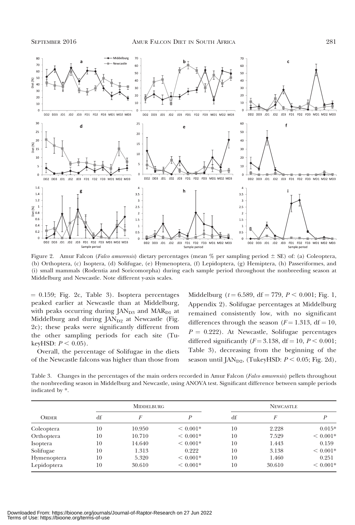

Figure 2. Amur Falcon (Falco amurensis) dietary percentages (mean  $%$  per sampling period  $\pm$  SE) of: (a) Coleoptera, (b) Orthoptera, (c) Isoptera, (d) Solifugae, (e) Hymenoptera, (f) Lepidoptera, (g) Hemiptera, (h) Passeriformes, and (i) small mammals (Rodentia and Soricomorpha) during each sample period throughout the nonbreeding season at Middelburg and Newcastle. Note different y-axis scales.

 $= 0.159$ ; Fig. 2c, Table 3). Isoptera percentages peaked earlier at Newcastle than at Middelburg, with peaks occurring during  $JAN<sub>D3</sub>$  and  $MAR<sub>D1</sub>$  at Middelburg and during  $\text{[AN}_{D2}$  at Newcastle (Fig. 2c); these peaks were significantly different from the other sampling periods for each site (TukeyHSD:  $P < 0.05$ ).

Overall, the percentage of Solifugae in the diets of the Newcastle falcons was higher than those from Middelburg ( $t = 6.589$ , df = 779,  $P < 0.001$ ; Fig. 1, Appendix 2). Solifugae percentages at Middelburg remained consistently low, with no significant differences through the season ( $F = 1.313$ , df = 10,  $P = 0.222$ ). At Newcastle, Solifugae percentages differed significantly  $(F = 3.138, df = 10, P < 0.001;$ Table 3), decreasing from the beginning of the season until  $\text{[AN}_{D2}$ , (TukeyHSD:  $P < 0.05$ ; Fig. 2d),

Table 3. Changes in the percentages of the main orders recorded in Amur Falcon (*Falco amurensis*) pellets throughout the nonbreeding season in Middelburg and Newcastle, using ANOVA test. Significant difference between sample periods indicated by \*.

|              |    | <b>MIDDELBURG</b> |            |    | <b>NEWCASTLE</b> |            |  |
|--------------|----|-------------------|------------|----|------------------|------------|--|
| <b>ORDER</b> | df | F                 | D          | df | F                | P          |  |
| Coleoptera   | 10 | 10.950            | $< 0.001*$ | 10 | 2.228            | $0.015*$   |  |
| Orthoptera   | 10 | 10.710            | $< 0.001*$ | 10 | 7.529            | $< 0.001*$ |  |
| Isoptera     | 10 | 14.640            | $< 0.001*$ | 10 | 1.443            | 0.159      |  |
| Solifugae    | 10 | 1.313             | 0.222      | 10 | 3.138            | $< 0.001*$ |  |
| Hymenoptera  | 10 | 5.320             | $< 0.001*$ | 10 | 1.460            | 0.251      |  |
| Lepidoptera  | 10 | 30.610            | $< 0.001*$ | 10 | 30.610           | $< 0.001*$ |  |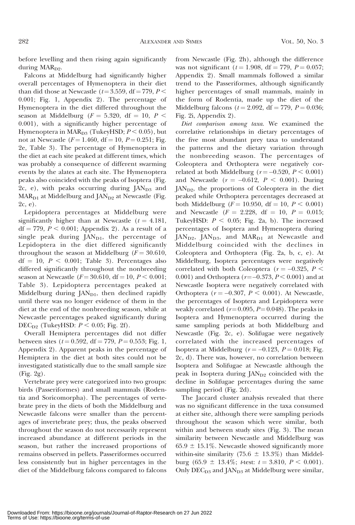before levelling and then rising again significantly during  $MAR<sub>D9</sub>$ .

Falcons at Middelburg had significantly higher overall percentages of Hymenoptera in their diet than did those at Newcastle ( $t = 3.559$ , df = 779, P < 0.001; Fig. 1, Appendix 2). The percentage of Hymenoptera in the diet differed throughout the season at Middelburg ( $F = 5.320$ , df = 10, P < 0.001), with a significantly higher percentage of Hymenoptera in  $\text{MAR}_{\text{D3}}$  (TukeyHSD;  $P < 0.05$ ), but not at Newcastle ( $F = 1.460$ , df = 10,  $P = 0.251$ ; Fig. 2e, Table 3). The percentage of Hymenoptera in the diet at each site peaked at different times, which was probably a consequence of different swarming events by the alates at each site. The Hymenoptera peaks also coincided with the peaks of Isoptera (Fig. 2c, e), with peaks occurring during  $\text{[AN}_{D3}$  and  $MAR<sub>D1</sub>$  at Middelburg and  $JAN<sub>D2</sub>$  at Newcastle (Fig. 2c, e).

Lepidoptera percentages at Middelburg were significantly higher than at Newcastle  $(t = 4.181,$ df = 779,  $P < 0.001$ ; Appendix 2). As a result of a single peak during  $JAN<sub>D1</sub>$ , the percentage of Lepidoptera in the diet differed significantly throughout the season at Middelburg ( $F = 30.610$ ,  $df = 10$ ,  $P < 0.001$ ; Table 3). Percentages also differed significantly throughout the nonbreeding season at Newcastle ( $F = 30.610$ , df = 10,  $P < 0.001$ ; Table 3). Lepidoptera percentages peaked at Middelburg during  $JAN<sub>D1</sub>$ , then declined rapidly until there was no longer evidence of them in the diet at the end of the nonbreeding season, while at Newcastle percentages peaked significantly during  $DEC<sub>D2</sub>$  (TukeyHSD:  $P < 0.05$ ; Fig. 2f).

Overall Hemiptera percentages did not differ between sites ( $t = 0.592$ , df = 779,  $P = 0.553$ ; Fig. 1, Appendix 2). Apparent peaks in the percentage of Hemiptera in the diet at both sites could not be investigated statistically due to the small sample size (Fig. 2g).

Vertebrate prey were categorized into two groups: birds (Passeriformes) and small mammals (Rodentia and Soricomorpha). The percentages of vertebrate prey in the diets of both the Middelburg and Newcastle falcons were smaller than the percentages of invertebrate prey; thus, the peaks observed throughout the season do not necessarily represent increased abundance at different periods in the season, but rather the increased proportions of remains observed in pellets. Passeriformes occurred less consistently but in higher percentages in the diet of the Middelburg falcons compared to falcons

from Newcastle (Fig. 2h), although the difference was not significant ( $t = 1.908$ , df = 779,  $P = 0.057$ ; Appendix 2). Small mammals followed a similar trend to the Passeriformes, although significantly higher percentages of small mammals, mainly in the form of Rodentia, made up the diet of the Middelburg falcons ( $t = 2.092$ , df = 779,  $P = 0.036$ ; Fig. 2i, Appendix 2).

Diet comparison among taxa. We examined the correlative relationships in dietary percentages of the five most abundant prey taxa to understand the patterns and the dietary variation through the nonbreeding season. The percentages of Coleoptera and Orthoptera were negatively correlated at both Middelburg ( $r = -0.520$ ,  $P < 0.001$ ) and Newcastle  $(r = -0.612, P < 0.001)$ . During JAN<sub>D2</sub>, the proportions of Coleoptera in the diet peaked while Orthoptera percentages decreased at both Middelburg ( $F = 10.950$ , df = 10,  $P < 0.001$ ) and Newcastle  $(F = 2.228, df = 10, P = 0.015;$ TukeyHSD:  $P < 0.05$ ; Fig. 2a, b). The increased percentages of Isoptera and Hymenoptera during JAN<sub>D2</sub>, JAN<sub>D3</sub>, and MAR<sub>D1</sub> at Newcastle and Middelburg coincided with the declines in Coleoptera and Orthoptera (Fig. 2a, b, c, e). At Middelburg, Isoptera percentages were negatively correlated with both Coleoptera ( $r = -0.325$ ,  $P <$ 0.001) and Orthoptera ( $r = -0.373, P < 0.001$ ) and at Newcastle Isoptera were negatively correlated with Orthoptera ( $r = -0.307$ ,  $P < 0.001$ ). At Newcastle, the percentages of Isoptera and Lepidoptera were weakly correlated ( $r=0.095, P=0.048$ ). The peaks in Isoptera and Hymenoptera occurred during the same sampling periods at both Middelburg and Newcastle (Fig. 2c, e). Solifugae were negatively correlated with the increased percentages of Isoptera at Middelburg ( $r = -0.123$ ,  $P = 0.018$ ; Fig. 2c, d). There was, however, no correlation between Isoptera and Solifugae at Newcastle although the peak in Isoptera during  $\text{JAN}_{D2}$  coincided with the decline in Solifugae percentages during the same sampling period (Fig. 2d).

The Jaccard cluster analysis revealed that there was no significant difference in the taxa consumed at either site, although there were sampling periods throughout the season which were similar, both within and between study sites (Fig. 3). The mean similarity between Newcastle and Middelburg was  $65.9 \pm 15.1\%$ . Newcastle showed significantly more within-site similarity (75.6  $\pm$  13.3%) than Middelburg (65.9  $\pm$  13.4%; t-test:  $t = 3.810, P < 0.001$ ). Only  $DEC<sub>D3</sub>$  and JAN<sub>D3</sub> at Middelburg were similar,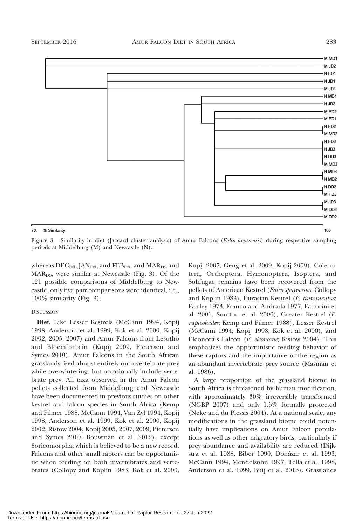

Figure 3. Similarity in diet (Jaccard cluster analysis) of Amur Falcons (Falco amurensis) during respective sampling periods at Middelburg (M) and Newcastle (N).

whereas  $DEC_{D3}$ , JAN<sub>D3</sub>, and FEB<sub>D3</sub>; and MAR<sub>D2</sub> and  $MAR<sub>D3</sub>$ , were similar at Newcastle (Fig. 3). Of the 121 possible comparisons of Middelburg to Newcastle, only five pair comparisons were identical, i.e., 100% similarity (Fig. 3).

### **DISCUSSION**

70.

Diet. Like Lesser Kestrels (McCann 1994, Kopij 1998, Anderson et al. 1999, Kok et al. 2000, Kopij 2002, 2005, 2007) and Amur Falcons from Lesotho and Bloemfontein (Kopij 2009, Pietersen and Symes 2010), Amur Falcons in the South African grasslands feed almost entirely on invertebrate prey while overwintering, but occasionally include vertebrate prey. All taxa observed in the Amur Falcon pellets collected from Middelburg and Newcastle have been documented in previous studies on other kestrel and falcon species in South Africa (Kemp and Filmer 1988, McCann 1994, Van Zyl 1994, Kopij 1998, Anderson et al. 1999, Kok et al. 2000, Kopij 2002, Ristow 2004, Kopij 2005, 2007, 2009, Pietersen and Symes 2010, Bouwman et al. 2012), except Soricomorpha, which is believed to be a new record. Falcons and other small raptors can be opportunistic when feeding on both invertebrates and vertebrates (Collopy and Koplin 1983, Kok et al. 2000, Kopij 2007, Geng et al. 2009, Kopij 2009). Coleoptera, Orthoptera, Hymenoptera, Isoptera, and Solifugae remains have been recovered from the pellets of American Kestrel (Falco sparverius; Collopy and Koplin 1983), Eurasian Kestrel (F. tinnunculus; Fairley 1973, Franco and Andrada 1977, Fattorini et al. 2001, Souttou et al. 2006), Greater Kestrel (F. rupicoloides; Kemp and Filmer 1988), Lesser Kestrel (McCann 1994, Kopij 1998, Kok et al. 2000), and Eleonora's Falcon (F. eleonorae; Ristow 2004). This emphasizes the opportunistic feeding behavior of these raptors and the importance of the region as an abundant invertebrate prey source (Masman et al. 1986).

A large proportion of the grassland biome in South Africa is threatened by human modification, with approximately 30% irreversibly transformed (NGBP 2007) and only 1.6% formally protected (Neke and du Plessis 2004). At a national scale, any modifications in the grassland biome could potentially have implications on Amur Falcon populations as well as other migratory birds, particularly if prey abundance and availability are reduced (Dijkstra et al. 1988, Biber 1990, Donázar et al. 1993, McCann 1994, Mendelsohn 1997, Tella et al. 1998, Anderson et al. 1999, Buij et al. 2013). Grasslands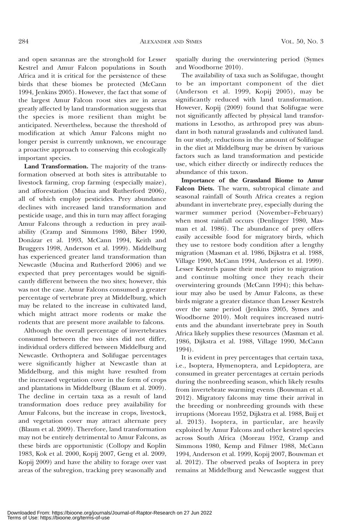and open savannas are the stronghold for Lesser Kestrel and Amur Falcon populations in South Africa and it is critical for the persistence of these birds that these biomes be protected (McCann 1994, Jenkins 2005). However, the fact that some of the largest Amur Falcon roost sites are in areas greatly affected by land transformation suggests that the species is more resilient than might be anticipated. Nevertheless, because the threshold of modification at which Amur Falcons might no longer persist is currently unknown, we encourage a proactive approach to conserving this ecologically important species.

Land Transformation. The majority of the transformation observed at both sites is attributable to livestock farming, crop farming (especially maize), and afforestation (Mucina and Rutherford 2006), all of which employ pesticides. Prey abundance declines with increased land transformation and pesticide usage, and this in turn may affect foraging Amur Falcons through a reduction in prey availability (Cramp and Simmons 1980, Biber 1990, Donázar et al. 1993, McCann 1994, Keith and Bruggers 1998, Anderson et al. 1999). Middelburg has experienced greater land transformation than Newcastle (Mucina and Rutherford 2006) and we expected that prey percentages would be significantly different between the two sites; however, this was not the case. Amur Falcons consumed a greater percentage of vertebrate prey at Middelburg, which may be related to the increase in cultivated land, which might attract more rodents or make the rodents that are present more available to falcons.

Although the overall percentage of invertebrates consumed between the two sites did not differ, individual orders differed between Middelburg and Newcastle. Orthoptera and Solifugae percentages were significantly higher at Newcastle than at Middelburg, and this might have resulted from the increased vegetation cover in the form of crops and plantations in Middelburg (Blaum et al. 2009). The decline in certain taxa as a result of land transformation does reduce prey availability for Amur Falcons, but the increase in crops, livestock, and vegetation cover may attract alternate prey (Blaum et al. 2009). Therefore, land transformation may not be entirely detrimental to Amur Falcons, as these birds are opportunistic (Collopy and Koplin 1983, Kok et al. 2000, Kopij 2007, Geng et al. 2009, Kopij 2009) and have the ability to forage over vast areas of the subregion, tracking prey seasonally and spatially during the overwintering period (Symes and Woodborne 2010).

The availability of taxa such as Solifugae, thought to be an important component of the diet (Anderson et al. 1999, Kopij 2005), may be significantly reduced with land transformation. However, Kopij (2009) found that Solifugae were not significantly affected by physical land transformations in Lesotho, as arthropod prey was abundant in both natural grasslands and cultivated land. In our study, reductions in the amount of Solifugae in the diet at Middelburg may be driven by various factors such as land transformation and pesticide use, which either directly or indirectly reduces the abundance of this taxon.

Importance of the Grassland Biome to Amur Falcon Diets. The warm, subtropical climate and seasonal rainfall of South Africa creates a region abundant in invertebrate prey, especially during the warmer summer period (November–February) when most rainfall occurs (Denlinger 1980, Masman et al. 1986). The abundance of prey offers easily accessible food for migratory birds, which they use to restore body condition after a lengthy migration (Masman et al. 1986, Dijkstra et al. 1988, Village 1990, McCann 1994, Anderson et al. 1999). Lesser Kestrels pause their molt prior to migration and continue molting once they reach their overwintering grounds (McCann 1994); this behaviour may also be used by Amur Falcons, as these birds migrate a greater distance than Lesser Kestrels over the same period (Jenkins 2005, Symes and Woodborne 2010). Molt requires increased nutrients and the abundant invertebrate prey in South Africa likely supplies these resources (Masman et al. 1986, Dijkstra et al. 1988, Village 1990, McCann 1994).

It is evident in prey percentages that certain taxa, i.e., Isoptera, Hymenoptera, and Lepidoptera, are consumed in greater percentages at certain periods during the nonbreeding season, which likely results from invertebrate swarming events (Bouwman et al. 2012). Migratory falcons may time their arrival in the breeding or nonbreeding grounds with these irruptions (Moreau 1952, Dijkstra et al. 1988, Buij et al. 2013). Isoptera, in particular, are heavily exploited by Amur Falcons and other kestrel species across South Africa (Moreau 1952, Cramp and Simmons 1980, Kemp and Filmer 1988, McCann 1994, Anderson et al. 1999, Kopij 2007, Bouwman et al. 2012). The observed peaks of Isoptera in prey remains at Middelburg and Newcastle suggest that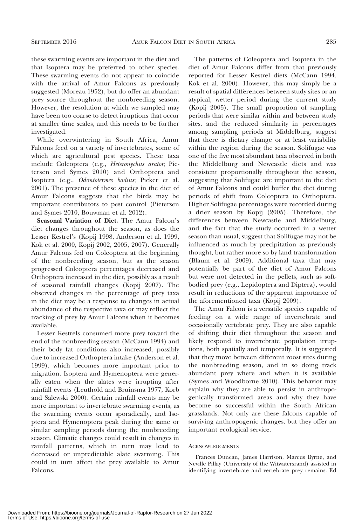these swarming events are important in the diet and that Isoptera may be preferred to other species. These swarming events do not appear to coincide with the arrival of Amur Falcons as previously suggested (Moreau 1952), but do offer an abundant prey source throughout the nonbreeding season. However, the resolution at which we sampled may have been too coarse to detect irruptions that occur at smaller time scales, and this needs to be further investigated.

While overwintering in South Africa, Amur Falcons feed on a variety of invertebrates, some of which are agricultural pest species. These taxa include Coleoptera (e.g., Heteronychus arator; Pietersen and Symes 2010) and Orthoptera and Isoptera (e.g., Odontotermes badius; Picker et al. 2001). The presence of these species in the diet of Amur Falcons suggests that the birds may be important contributors to pest control (Pietersen and Symes 2010, Bouwman et al. 2012).

Seasonal Variation of Diet. The Amur Falcon's diet changes throughout the season, as does the Lesser Kestrel's (Kopij 1998, Anderson et al. 1999, Kok et al. 2000, Kopij 2002, 2005, 2007). Generally Amur Falcons fed on Coleoptera at the beginning of the nonbreeding season, but as the season progressed Coleoptera percentages decreased and Orthoptera increased in the diet, possibly as a result of seasonal rainfall changes (Kopij 2007). The observed changes in the percentage of prey taxa in the diet may be a response to changes in actual abundance of the respective taxa or may reflect the tracking of prey by Amur Falcons when it becomes available.

Lesser Kestrels consumed more prey toward the end of the nonbreeding season (McCann 1994) and their body fat conditions also increased, possibly due to increased Orthoptera intake (Anderson et al. 1999), which becomes more important prior to migration. Isoptera and Hymenoptera were generally eaten when the alates were irrupting after rainfall events (Leuthold and Bruinsma 1977, Korb and Salewski 2000). Certain rainfall events may be more important to invertebrate swarming events, as the swarming events occur sporadically, and Isoptera and Hymenoptera peak during the same or similar sampling periods during the nonbreeding season. Climatic changes could result in changes in rainfall patterns, which in turn may lead to decreased or unpredictable alate swarming. This could in turn affect the prey available to Amur Falcons.

The patterns of Coleoptera and Isoptera in the diet of Amur Falcons differ from that previously reported for Lesser Kestrel diets (McCann 1994, Kok et al. 2000). However, this may simply be a result of spatial differences between study sites or an atypical, wetter period during the current study (Kopij 2005). The small proportion of sampling periods that were similar within and between study sites, and the reduced similarity in percentages among sampling periods at Middelburg, suggest that there is dietary change or at least variability within the region during the season. Solifugae was one of the five most abundant taxa observed in both the Middelburg and Newcastle diets and was consistent proportionally throughout the season, suggesting that Solifugae are important to the diet of Amur Falcons and could buffer the diet during periods of shift from Coleoptera to Orthoptera. Higher Solifugae percentages were recorded during a drier season by Kopij (2005). Therefore, the differences between Newcastle and Middelburg, and the fact that the study occurred in a wetter season than usual, suggest that Solifugae may not be influenced as much by precipitation as previously thought, but rather more so by land transformation (Blaum et al. 2009). Additional taxa that may potentially be part of the diet of Amur Falcons but were not detected in the pellets, such as softbodied prey (e.g., Lepidoptera and Diptera), would result in reductions of the apparent importance of the aforementioned taxa (Kopij 2009).

The Amur Falcon is a versatile species capable of feeding on a wide range of invertebrate and occasionally vertebrate prey. They are also capable of shifting their diet throughout the season and likely respond to invertebrate population irruptions, both spatially and temporally. It is suggested that they move between different roost sites during the nonbreeding season, and in so doing track abundant prey where and when it is available (Symes and Woodborne 2010). This behavior may explain why they are able to persist in anthropogenically transformed areas and why they have become so successful within the South African grasslands. Not only are these falcons capable of surviving anthropogenic changes, but they offer an important ecological service.

#### **ACKNOWLEDGMENTS**

Frances Duncan, James Harrison, Marcus Byrne, and Neville Pillay (University of the Witwatersrand) assisted in identifying invertebrate and vertebrate prey remains. Ed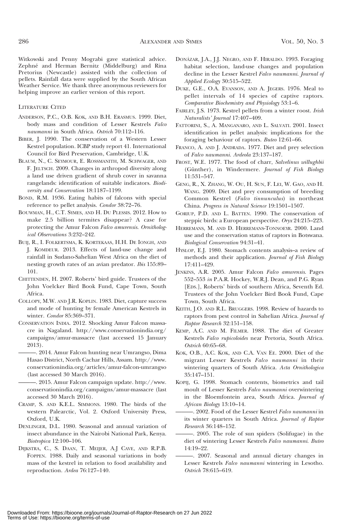Witkowski and Penny Mograbi gave statistical advice. Zephné and Herman Bernitz (Middelburg) and Rina Pretorius (Newcastle) assisted with the collection of pellets. Rainfall data were supplied by the South African Weather Service. We thank three anonymous reviewers for helping improve an earlier version of this report.

#### LITERATURE CITED

- ANDERSON, P.C., O.B. KOK, AND B.H. ERASMUS. 1999. Diet, body mass and condition of Lesser Kestrels Falco naumanni in South Africa. Ostrich 70:112–116.
- BIBER, J. 1990. The conservation of a Western Lesser Kestrel population. ICBP study report 41. International Council for Bird Preservation, Cambridge, U.K.
- BLAUM, N., C. SEYMOUR, E. ROSSMANITH, M. SCHWAGER, AND F. JELTSCH. 2009. Changes in arthropod diversity along a land use driven gradient of shrub cover in savanna rangelands: identification of suitable indicators. Biodiversity and Conservation 18:1187–1199.
- BOND, R.M. 1936. Eating habits of falcons with special reference to pellet analysis. Condor 38:72-76.
- BOUWMAN, H., C.T. SYMES, AND H. DU PLESSIS. 2012. How to make 2.5 billion termites disappear? A case for protecting the Amur Falcon Falco amurensis. Ornithological Observations 3:232–242.
- BUIJ, R., I. FOLKERTSMA, K. KORTEKAAS, H.H. DE IONGH, AND J. KOMDEUR. 2013. Effects of land-use change and rainfall in Sudano-Sahelian West Africa on the diet of nesting growth rates of an avian predator. Ibis 155:89– 101.
- CHITTENDEN, H. 2007. Roberts' bird guide. Trustees of the John Voelcker Bird Book Fund, Cape Town, South Africa.
- COLLOPY, M.W. AND J.R. KOPLIN. 1983. Diet, capture success and mode of hunting by female American Kestrels in winter. Condor 85:369–371.
- CONSERVATION INDIA. 2012. Shocking Amur Falcon massacre in Nagaland. http://www.conservationindia.org/ campaigns/amur-massacre (last accessed 15 January 2013).
	- ———. 2014. Amur Falcon hunting near Umrangso, Dima Hasao District, North Cachar Hills, Assam. http://www. conservationindia.org/articles/amur-falcon-umrangso (last accessed 30 March 2016).

-. 2015. Amur Falcon campaign update. http://www. conservationindia.org/campaigns/amur-massacre (last accessed 30 March 2016).

- CRAMP, S. AND K.E.L. SIMMONS. 1980. The birds of the western Palearctic, Vol. 2. Oxford University Press,  $Oxford$   $UK$
- DENLINGER, D.L. 1980. Seasonal and annual variation of insect abundance in the Nairobi National Park, Kenya. Biotropica 12:100–106.
- DIJKSTRA, C., S. DAAN, T. MEIJER, A.J CAVE, AND R.P.B. FOPPEN. 1988. Daily and seasonal variations in body mass of the kestrel in relation to food availability and reproduction. Ardea 76:127–140.
- DONA´ZAR, J.A., J.J. NEGRO, AND F. HIRALDO. 1993. Foraging habitat selection, land-use changes and population decline in the Lesser Kestrel Falco naumanni. Journal of Applied Ecology 30:515–522.
- DUKE, G.E., O.A. EVANSON, AND A. JEGERS. 1976. Meal to pellet intervals of 14 species of captive raptors. Comparative Biochemistry and Physiology 53:1–6.
- FAIRLEY, J.S. 1973. Kestrel pellets from a winter roost. Irish Naturalists' Journal 17:407–409.
- FATTORINI, S., A. MANGANARO, AND L. SALVATI. 2001. Insect identification in pellet analysis: implications for the foraging behaviour of raptors. Buteo 12:61–66.
- FRANCO, A. AND J. ANDRADA. 1977. Diet and prey selection of Falco naumanni. Ardeola 23:137–187.
- FROST, W.E. 1977. The food of charr, Salvelinus willughbii (Günther), in Windermere. Journal of Fish Biology 11:531–547.
- GENG, R., X. ZHANG, W. OU, H. SUN, F. LEI, W. GAO, AND H. WANG. 2009. Diet and prey consumption of breeding Common Kestrel (Falco tinnunculus) in northeast China. Progress in Natural Science 19:1501–1507.
- GORIUP, P.D. AND L. BATTEN. 1990. The conservation of steppic birds: a European perspective. Oryx 24:215–223.
- HERREMANS, M. AND D. HERREMANS-TONNOEYR. 2000. Land use and the conservation status of raptors in Botswana. Biological Conservation 94:31–41.
- HYSLOP, E.J. 1980. Stomach contents analysis–a review of methods and their application. Journal of Fish Biology 17:411–429.
- JENKINS, A.R. 2005. Amur Falcon Falco amurensis. Pages 552–553 in P.A.R. Hockey, W.R.J. Dean, and P.G. Ryan [EDS.], Roberts' birds of southern Africa, Seventh Ed. Trustees of the John Voelcker Bird Book Fund, Cape Town, South Africa.
- KEITH, J.O. AND R.L. BRUGGERS. 1998. Review of hazards to raptors from pest control in Sahelian Africa. Journal of Raptor Research 32:151–158.
- KEMP, A.C. AND M. FILMER. 1988. The diet of Greater Kestrels Falco rupicoloides near Pretoria, South Africa. Ostrich 60:65–68.
- KOK, O.B., A.C. KOK, AND C.A. VAN EE. 2000. Diet of the migrant Lesser Kestrels Falco naumanni in their wintering quarters of South Africa. Acta Ornithologica 35:147–151.
- KOPIJ, G. 1998. Stomach contents, biometrics and tail moult of Lesser Kestrels Falco naumanni overwintering in the Bloemfontein area, South Africa. Journal of African Biology 13:10–14.
- ———. 2002. Food of the Lesser Kestrel Falco naumanni in its winter quarters in South Africa. Journal of Raptor Research 36:148–152.
- ———. 2005. The role of sun spiders (Solifugae) in the diet of wintering Lesser Kestrels Falco naumanni. Buteo 14:19–22.
- ———. 2007. Seasonal and annual dietary changes in Lesser Kestrels Falco naumanni wintering in Lesotho. Ostrich 78:615–619.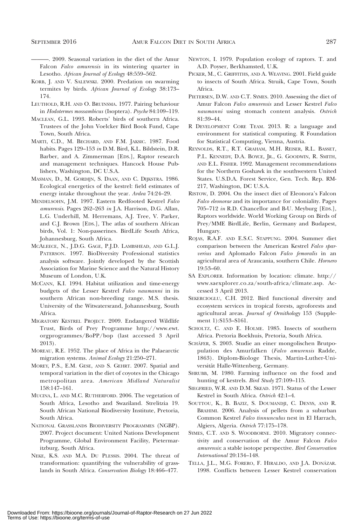———. 2009. Seasonal variation in the diet of the Amur Falcon Falco amurensis in its wintering quarter in Lesotho. African Journal of Ecology 48:559–562.

- KORB, J. AND V. SALEWSKI. 2000. Predation on swarming termites by birds. African Journal of Ecology 38:173– 174.
- LEUTHOLD, R.H. AND O. BRUINSMA. 1977. Pairing behaviour in Hodotermes mossambicus (Isoptera). Psyche 84:109–119.
- MACLEAN, G.L. 1993. Roberts' birds of southern Africa. Trustees of the John Voelcker Bird Book Fund, Cape Town, South Africa.
- MARTI, C.D., M. BECHARD, AND F.M. JAKSIC. 1987. Food habits. Pages 129–153 in D.M. Bird, K.L. Bildstein, D.R. Barber, and A. Zimmerman [EDS.], Raptor research and management techniques. Hancock House Publishers, Washington, DC U.S.A.
- MASMAN, D., M. GORDIJN, S. DAAN, AND C. DIJKSTRA. 1986. Ecological energetics of the kestrel: field estimates of energy intake throughout the year. Ardea 74:24–29.
- MENDELSOHN, J.M. 1997. Eastern Redfooted Kestrel Falco amurensis. Pages 262–263 in J.A. Harrison, D.G. Allan, L.G. Underhill, M. Herremans, A.J. Tree, V. Parker, and C.J. Brown [EDS.], The atlas of southern African birds, Vol. 1: Non-passerines. BirdLife South Africa, Johannesburg, South Africa.
- MCALEECE, N., J.D.G. GAGE, P.J.D. LAMBSHEAD, AND G.L.J. PATERSON. 1997. BioDiversity Professional statistics analysis software. Jointly developed by the Scottish Association for Marine Science and the Natural History Museum of London, U.K.
- MCCANN, K.I. 1994. Habitat utilization and time-energy budgets of the Lesser Kestrel Falco naumanni in its southern African non-breeding range. M.S. thesis. University of the Witwatersrand, Johannesburg, South Africa.
- MIGRATORY KESTREL PROJECT. 2009. Endangered Wildlife Trust, Birds of Prey Programme http://www.ewt. orgprogrammes/BoPP/bop (last accessed 3 April 2013).
- MOREAU, R.E. 1952. The place of Africa in the Palaearctic migration systems. Animal Ecology 21:250–271.
- MOREY, P.S., E.M. GESE, AND S. GEHRT. 2007. Spatial and temporal variation in the diet of coyotes in the Chicago metropolitan area. American Midland Naturalist 158:147–161.
- MUCINA, L. AND M.C. RUTHERFORD. 2006. The vegetation of South Africa, Lesotho and Swaziland. Strelitzia 19. South African National Biodiversity Institute, Pretoria, South Africa.
- NATIONAL GRASSLANDS BIODIVERSITY PROGRAMMES (NGBP). 2007. Project document: United Nations Development Programme, Global Environment Facility, Pietermaritzburg, South Africa.
- NEKE, K.S. AND M.A. DU PLESSIS. 2004. The threat of transformation: quantifying the vulnerability of grasslands in South Africa. Conservation Biology 18:466–477.
- NEWTON, I. 1979. Population ecology of raptors. T. and A.D. Poyser, Berkhamsted, U.K.
- PICKER, M., C. GRIFFITHS, AND A. WEAVING. 2001. Field guide to insects of South Africa. Struik, Cape Town, South Africa.
- PIETERSEN, D.W. AND C.T. SYMES. 2010. Assessing the diet of Amur Falcon Falco amurensis and Lesser Kestrel Falco naumanni using stomach content analysis. Ostrich 81:39–44.
- R DEVELOPMENT CORE TEAM. 2013. R: a language and environment for statistical computing. R Foundation for Statistical Computing, Vienna, Austria.
- REYNOLDS, R.T., R.T. GRAHAM, M.H. REISER, R.L. BASSET, P.L. KENNEDY, D.A. BOYCE, JR., G. GOODWIN, R. SMITH, AND E.L. FISHER. 1992. Management recommendations for the Northern Goshawk in the southwestern United States. U.S.D.A. Forest Service, Gen. Tech. Rep. RM-217, Washington, DC U.S.A.
- RISTOW, D. 2004. On the insect diet of Eleonora's Falcon Falco eleonorae and its importance for coloniality. Pages 705–712 in R.D. Chancellor and B-U. Meyburg [EDS.], Raptors worldwide. World Working Group on Birds of Prey/MME BirdLife, Berlin, Germany and Budapest, Hungary.
- ROJAS, R.A.F. AND E.S.C. STAPPUNG. 2004. Summer diet comparison between the American Kestrel Falco sparverius and Aplomado Falcon Falco femoralis in an agricultural area of Araucania, southern Chile. Hornero 19:53–60.
- SA EXPLORER. Information by location: climate. http:// www.saexplorer.co.za/south-africa/climate.asp. Accessed 3 April 2013.
- SEKERCIOGLU, C.H. 2012. Bird functional diversity and ecosystem services in tropical forests, agroforests and agricultural areas. Journal of Ornithology 153 (Supplement 1):S153–S161.
- SCHOLTZ, C. AND E. HOLME. 1985. Insects of southern Africa. Pretoria Boekhuis, Pretoria, South Africa.
- SCHÄFER, S. 2003. Studie an einer mongolischen Brutpopulation des Amurfalken (Falco amurensis Radde, 1863). Diplom-Biologe Thesis, Martin-Luther-Universität Halle-Wittenberg, Germany.
- SHRUBB, M. 1980. Farming influence on the food and hunting of kestrels. Bird Study 27:109–115.
- SIEGFRIED, W.R. AND D.M. SKEAD. 1971. Status of the Lesser Kestrel in South Africa. Ostrich 42:1–4.
- SOUTTOU, K., B. BAZIZ, S. DOUMANDJI, C. DENYS, AND R. BRAHIMI. 2006. Analysis of pellets from a suburban Common Kestrel Falco tinnunculus nest in El Harrach, Algiers, Algeria. Ostrich 77:175–178.
- SYMES, C.T. AND S. WOODBORNE. 2010. Migratory connectivity and conservation of the Amur Falcon Falco amurensis: a stable isotope perspective. Bird Conservation International 20:134–148.
- TELLA, J.L., M.G. FORERO, F. HIRALDO, AND J.A. DONÁZAR. 1998. Conflicts between Lesser Kestrel conservation